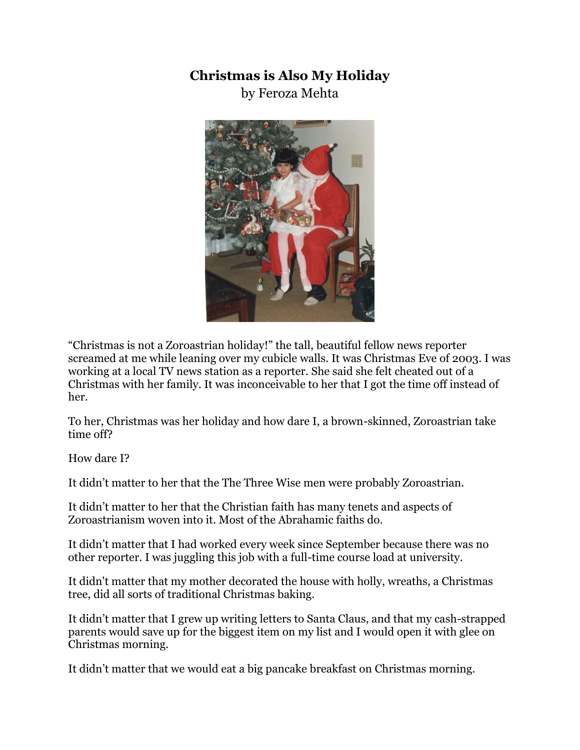## **Christmas is Also My Holiday**

by Feroza Mehta



"Christmas is not a Zoroastrian holiday!" the tall, beautiful fellow news reporter screamed at me while leaning over my cubicle walls. It was Christmas Eve of 2003. I was working at a local TV news station as a reporter. She said she felt cheated out of a Christmas with her family. It was inconceivable to her that I got the time off instead of her.

To her, Christmas was her holiday and how dare I, a brown-skinned, Zoroastrian take time off?

How dare I?

It didn't matter to her that the The Three Wise men were probably Zoroastrian.

It didn't matter to her that the Christian faith has many tenets and aspects of Zoroastrianism woven into it. Most of the Abrahamic faiths do.

It didn't matter that I had worked every week since September because there was no other reporter. I was juggling this job with a full-time course load at university.

It didn't matter that my mother decorated the house with holly, wreaths, a Christmas tree, did all sorts of traditional Christmas baking.

It didn't matter that I grew up writing letters to Santa Claus, and that my cash-strapped parents would save up for the biggest item on my list and I would open it with glee on Christmas morning.

It didn't matter that we would eat a big pancake breakfast on Christmas morning.